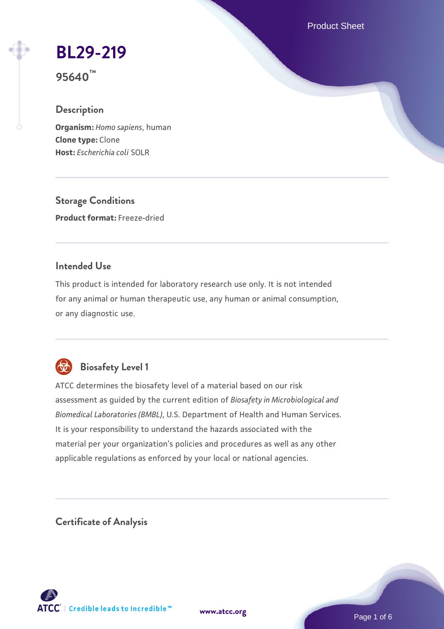Product Sheet

# **[BL29-219](https://www.atcc.org/products/95640)**

**95640™**

# **Description**

**Organism:** *Homo sapiens*, human **Clone type:** Clone **Host:** *Escherichia coli* SOLR

**Storage Conditions Product format:** Freeze-dried

# **Intended Use**

This product is intended for laboratory research use only. It is not intended for any animal or human therapeutic use, any human or animal consumption, or any diagnostic use.



# **Biosafety Level 1**

ATCC determines the biosafety level of a material based on our risk assessment as guided by the current edition of *Biosafety in Microbiological and Biomedical Laboratories (BMBL)*, U.S. Department of Health and Human Services. It is your responsibility to understand the hazards associated with the material per your organization's policies and procedures as well as any other applicable regulations as enforced by your local or national agencies.

**Certificate of Analysis**

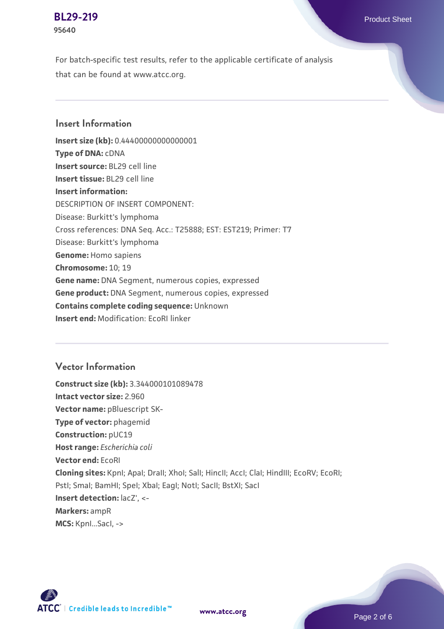#### **[BL29-219](https://www.atcc.org/products/95640)** Product Sheet **95640**

For batch-specific test results, refer to the applicable certificate of analysis that can be found at www.atcc.org.

# **Insert Information**

**Insert size (kb):** 0.44400000000000001 **Type of DNA:** cDNA **Insert source:** BL29 cell line **Insert tissue:** BL29 cell line **Insert information:** DESCRIPTION OF INSERT COMPONENT: Disease: Burkitt's lymphoma Cross references: DNA Seq. Acc.: T25888; EST: EST219; Primer: T7 Disease: Burkitt's lymphoma **Genome:** Homo sapiens **Chromosome:** 10; 19 **Gene name:** DNA Segment, numerous copies, expressed **Gene product:** DNA Segment, numerous copies, expressed **Contains complete coding sequence:** Unknown **Insert end:** Modification: EcoRI linker

## **Vector Information**

**Construct size (kb):** 3.344000101089478 **Intact vector size:** 2.960 **Vector name:** pBluescript SK-**Type of vector:** phagemid **Construction:** pUC19 **Host range:** *Escherichia coli* **Vector end:** EcoRI **Cloning sites:** KpnI; ApaI; DraII; XhoI; SalI; HincII; AccI; ClaI; HindIII; EcoRV; EcoRI; Pstl; Smal; BamHI; Spel; Xbal; EagI; NotI; SacII; BstXI; SacI **Insert detection:** lacZ', <- **Markers:** ampR **MCS:** KpnI...SacI, ->





**[www.atcc.org](http://www.atcc.org)**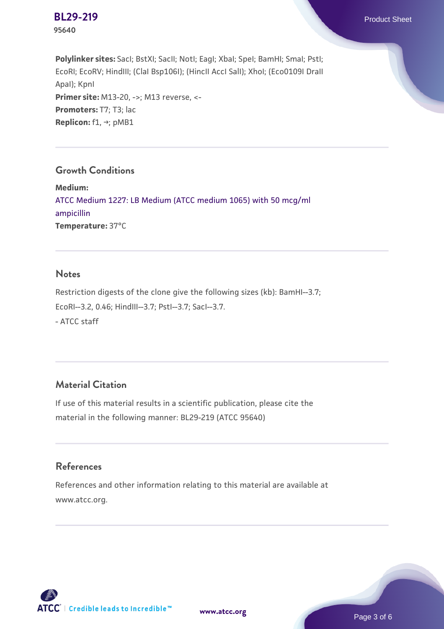

**Polylinker sites:** SacI; BstXI; SacII; NotI; EagI; XbaI; SpeI; BamHI; SmaI; PstI; EcoRI; EcoRV; HindIII; (ClaI Bsp106I); (HincII AccI SalI); XhoI; (Eco0109I DraII ApaI); KpnI **Primer site: M13-20, ->; M13 reverse, <-**Promoters: T7; T3; lac **Replicon:** f1, →; pMB1

### **Growth Conditions**

**Medium:**  [ATCC Medium 1227: LB Medium \(ATCC medium 1065\) with 50 mcg/ml](https://www.atcc.org/-/media/product-assets/documents/microbial-media-formulations/1/2/2/7/atcc-medium-1227.pdf?rev=581c98603b3e4b29a6d62ee0ba9ca578) [ampicillin](https://www.atcc.org/-/media/product-assets/documents/microbial-media-formulations/1/2/2/7/atcc-medium-1227.pdf?rev=581c98603b3e4b29a6d62ee0ba9ca578) **Temperature:** 37°C

#### **Notes**

Restriction digests of the clone give the following sizes (kb): BamHI--3.7; EcoRI--3.2, 0.46; HindIII--3.7; PstI--3.7; SacI--3.7. - ATCC staff

# **Material Citation**

If use of this material results in a scientific publication, please cite the material in the following manner: BL29-219 (ATCC 95640)

#### **References**

References and other information relating to this material are available at www.atcc.org.



**[www.atcc.org](http://www.atcc.org)**

Page 3 of 6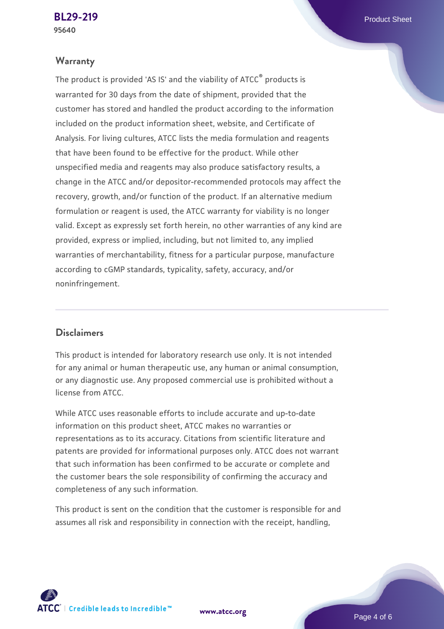#### **Warranty**

The product is provided 'AS IS' and the viability of ATCC® products is warranted for 30 days from the date of shipment, provided that the customer has stored and handled the product according to the information included on the product information sheet, website, and Certificate of Analysis. For living cultures, ATCC lists the media formulation and reagents that have been found to be effective for the product. While other unspecified media and reagents may also produce satisfactory results, a change in the ATCC and/or depositor-recommended protocols may affect the recovery, growth, and/or function of the product. If an alternative medium formulation or reagent is used, the ATCC warranty for viability is no longer valid. Except as expressly set forth herein, no other warranties of any kind are provided, express or implied, including, but not limited to, any implied warranties of merchantability, fitness for a particular purpose, manufacture according to cGMP standards, typicality, safety, accuracy, and/or noninfringement.

### **Disclaimers**

This product is intended for laboratory research use only. It is not intended for any animal or human therapeutic use, any human or animal consumption, or any diagnostic use. Any proposed commercial use is prohibited without a license from ATCC.

While ATCC uses reasonable efforts to include accurate and up-to-date information on this product sheet, ATCC makes no warranties or representations as to its accuracy. Citations from scientific literature and patents are provided for informational purposes only. ATCC does not warrant that such information has been confirmed to be accurate or complete and the customer bears the sole responsibility of confirming the accuracy and completeness of any such information.

This product is sent on the condition that the customer is responsible for and assumes all risk and responsibility in connection with the receipt, handling,

**[www.atcc.org](http://www.atcc.org)**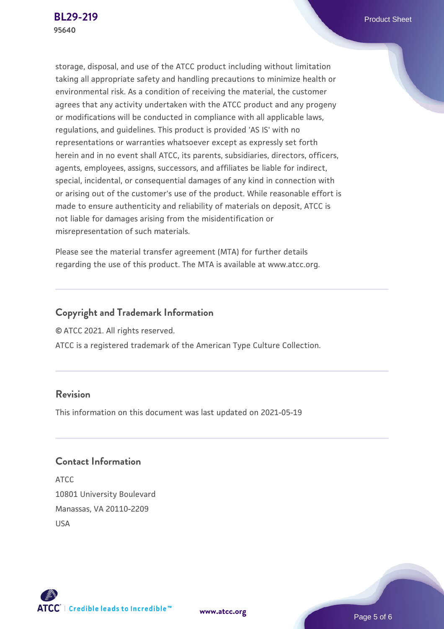storage, disposal, and use of the ATCC product including without limitation taking all appropriate safety and handling precautions to minimize health or environmental risk. As a condition of receiving the material, the customer agrees that any activity undertaken with the ATCC product and any progeny or modifications will be conducted in compliance with all applicable laws, regulations, and guidelines. This product is provided 'AS IS' with no representations or warranties whatsoever except as expressly set forth herein and in no event shall ATCC, its parents, subsidiaries, directors, officers, agents, employees, assigns, successors, and affiliates be liable for indirect, special, incidental, or consequential damages of any kind in connection with or arising out of the customer's use of the product. While reasonable effort is made to ensure authenticity and reliability of materials on deposit, ATCC is not liable for damages arising from the misidentification or misrepresentation of such materials.

Please see the material transfer agreement (MTA) for further details regarding the use of this product. The MTA is available at www.atcc.org.

# **Copyright and Trademark Information**

© ATCC 2021. All rights reserved.

ATCC is a registered trademark of the American Type Culture Collection.

# **Revision**

This information on this document was last updated on 2021-05-19

# **Contact Information**

ATCC 10801 University Boulevard Manassas, VA 20110-2209 USA